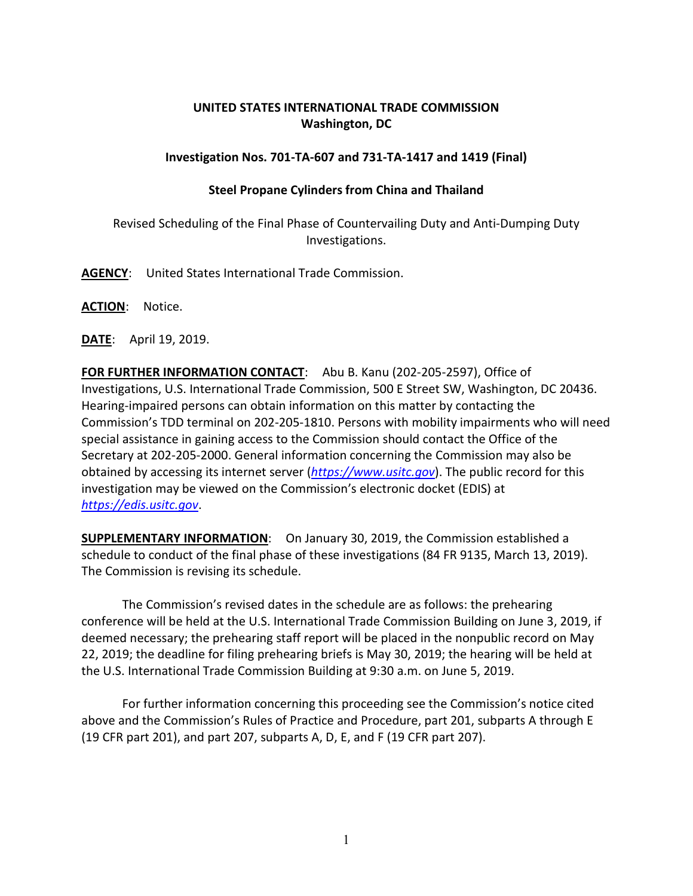## **UNITED STATES INTERNATIONAL TRADE COMMISSION Washington, DC**

## **Investigation Nos. 701-TA-607 and 731-TA-1417 and 1419 (Final)**

## **Steel Propane Cylinders from China and Thailand**

Revised Scheduling of the Final Phase of Countervailing Duty and Anti-Dumping Duty Investigations.

**AGENCY**: United States International Trade Commission.

**ACTION**: Notice.

**DATE**: April 19, 2019.

**FOR FURTHER INFORMATION CONTACT**: Abu B. Kanu (202-205-2597), Office of Investigations, U.S. International Trade Commission, 500 E Street SW, Washington, DC 20436. Hearing-impaired persons can obtain information on this matter by contacting the Commission's TDD terminal on 202-205-1810. Persons with mobility impairments who will need special assistance in gaining access to the Commission should contact the Office of the Secretary at 202-205-2000. General information concerning the Commission may also be obtained by accessing its internet server (*[https://www.usitc.gov](https://www.usitc.gov/)*). The public record for this investigation may be viewed on the Commission's electronic docket (EDIS) at *[https://edis.usitc.gov](https://edis.usitc.gov/)*.

**SUPPLEMENTARY INFORMATION**: On January 30, 2019, the Commission established a schedule to conduct of the final phase of these investigations (84 FR 9135, March 13, 2019). The Commission is revising its schedule.

The Commission's revised dates in the schedule are as follows: the prehearing conference will be held at the U.S. International Trade Commission Building on June 3, 2019, if deemed necessary; the prehearing staff report will be placed in the nonpublic record on May 22, 2019; the deadline for filing prehearing briefs is May 30, 2019; the hearing will be held at the U.S. International Trade Commission Building at 9:30 a.m. on June 5, 2019.

For further information concerning this proceeding see the Commission's notice cited above and the Commission's Rules of Practice and Procedure, part 201, subparts A through E (19 CFR part 201), and part 207, subparts A, D, E, and F (19 CFR part 207).